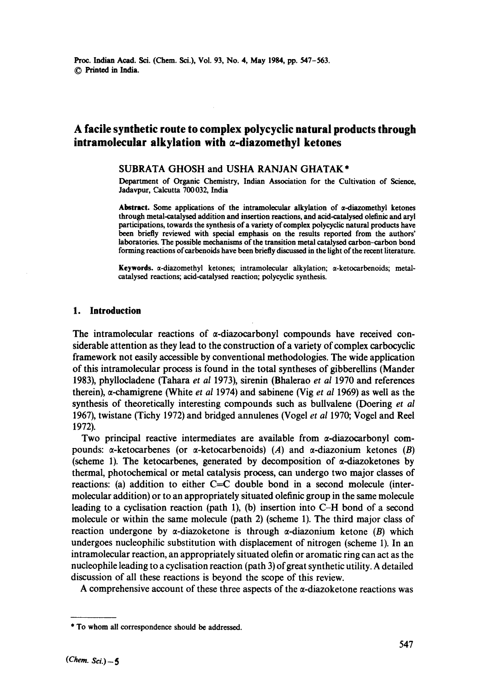# **A facile synthetic route to complex polycyclic natural products through**   $intramolecular$  alkylation with  $\alpha$ -diazomethyl ketones

### SUBRATA GHOSH and USHA RANJAN GHATAK<sup>\*</sup>

Department of Organic Chemistry, Indian Association for the Cultivation of Science, Jadavpur, Calcutta 700032, India

**Abstract.** Some applications of the intramolecular alkylation of a-diazomethyl **ketones through** metal-catalysed addition and insertion reactions, and acid-catalysed olefinic and aryl participations, towards the synthesis of a variety of complex polycyclic natural products have been briefly reviewed with special emphasis **on the** results reported from the authors' laboratories. The possible mechanisms of **the transition** metal catalysed carbon-carbon bond forming reactions of carbenoids have been briefly discussed in the light of the recent literature.

**Keywords.**  $\alpha$ -diazomethyl ketones; intramolecular alkylation;  $\alpha$ -ketocarbenoids; metalcatalysed reactions; acid-catalysed reaction; polycyclic synthesis.

# **1. Introduction**

The intramolecular reactions of  $\alpha$ -diazocarbonyl compounds have received considerable attention as they lead to the construction of a variety of complex carbocyclic framework not easily accessible by conventional methodologies. The wide application of this intramolecular process is found in the total syntheses of gibberellins (Mander 1983), phyllocladene (Tahara *et al* 1973), sirenin (Bhalerao *et al* 1970 and references therein), α-chamigrene (White *et al* 1974) and sabinene (Vig *et al* 1969) as well as the synthesis of theoretically interesting compounds such as bullvalene (Doering *et al*  1967), twistane (Tichy 1972) and bridged annulenes (Vogel *et al* 1970; Vogel and Reel 1972).

Two principal reactive intermediates are available from  $\alpha$ -diazocarbonyl compounds:  $\alpha$ -ketocarbenes (or  $\alpha$ -ketocarbenoids) (A) and  $\alpha$ -diazonium ketones (B) (scheme 1). The ketocarbenes, generated by decomposition of  $\alpha$ -diazoketones by thermal, photochemical or metal catalysis process, can undergo two major classes of reactions: (a) addition to either C=C double bond in a second molecule (intermolecular addition) or to an appropriately situated olefinic group in the same molecule leading to a cyclisation reaction (path 1), (b) insertion into C-H bond of a second molecule or within the same molecule (path 2) (scheme 1). The third major class of reaction undergone by  $\alpha$ -diazoketone is through  $\alpha$ -diazonium ketone (B) which undergoes nucleophilic substitution with displacement of nitrogen (scheme i). In an intramolecular reaction, an appropriately situated olefin or aromatic ring can act as the nucleophile leading to a cyclisation reaction (path 3) of great synthetic utility. A detailed discussion of all these reactions is beyond the scope of this review.

A comprehensive account of these three aspects of the  $\alpha$ -diazoketone reactions was

<sup>\*</sup> To whom all correspondence should be addressed.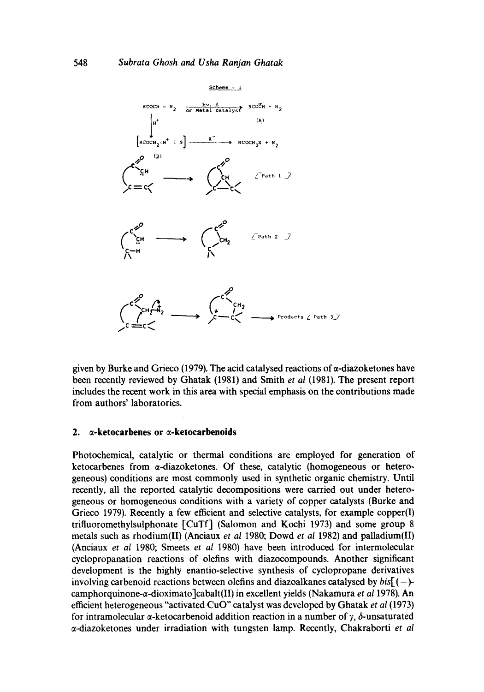

given by Burke and Grieco (1979). The acid catalysed reactions of  $\alpha$ -diazoketones have been recently reviewed by Ghatak (1981) and Smith *et al* (1981). The present report includes the recent work in this area with special emphasis on the contributions made from authors' laboratories.

#### 2.  $\alpha$ -ketocarbenes or  $\alpha$ -ketocarbenoids

Photochemical, catalytic or thermal conditions are employed for generation of ketocarbenes from  $\alpha$ -diazoketones. Of these, catalytic (homogeneous or heterogeneous) conditions are most commonly used in synthetic organic chemistry. Until recently, all the reported catalytic decompositions were carried out under heterogeneous or homogeneous conditions with a variety of copper catalysts (Burke and Grieco 1979). Recently a few efficient and selective catalysts, for example copper(I) trifluoromethylsulphonate [CuTf] (Salomon and Kochi 1973) and some group 8 metals such as rhodium(II) (Anciaux *et al* 1980; Dowd *et al* 1982) and palladium(II) (Anciaux *et aI* 1980; Smeets *et al* 1980) have been introduced for intermolecular cyclopropanation reactions of olefins with diazocompounds. Another significant development is the highly enantio-selective synthesis of cyclopropane derivatives involving carbenoid reactions between olefins and diazoalkanes catalysed by *bis[ (-)*  camphorquinone-*a*-dioximato<sup>-</sup>cabalt(II) in excellent yields (Nakamura *et al* 1978). An efficient heterogeneous "activated CuO" catalyst was developed by Ghatak *et al* (1973) for intramolecular  $\alpha$ -ketocarbenoid addition reaction in a number of  $\gamma$ ,  $\delta$ -unsaturated a-diazoketones under irradiation with tungsten lamp. Recently, Chakraborti et *al*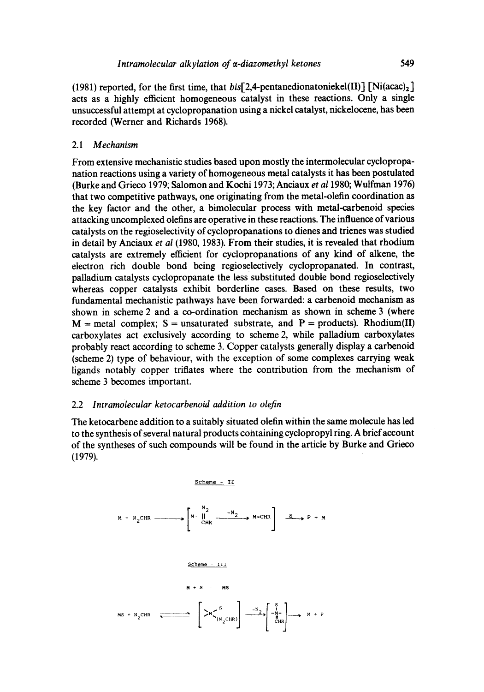(1981) reported, for the first time, that  $b$ is[2,4-pentanedionatoniekel(II)]  $[Ni(\text{ac}a)_{2}]$ acts as a highly efficient homogeneous catalyst in these reactions. Only a single unsuccessful attempt at cyclopropanation using a nickel catalyst, nickelocene, has been recorded (Werner and Richards 1968).

### 2.1 *Mechanism*

From extensive mechanistic studies based upon mostly the intermolecular cyclopropanation reactions using a variety of homogeneous metal catalysts it has been postulated (Burke and Grieco 1979; Salomon and Kochi 1973; Anciaux *et a11980;* Wulfman 1976) that two competitive pathways, one originating from the metal-olefin coordination as the key factor and the other, a bimolecular process with metal-carbenoid species attacking uncomplexed olefins are operative in these reactions. The influence of various catalysts on the regioselectivity of cyclopropanations to dienes and trienes was studied in detail by Anciaux *et al* (1980, 1983). From their studies, it is revealed that rhodium catalysts are extremely efficient for cyclopropanations of any kind of alkene, the electron rich double bond being regioselectively cyclopropanated. In contrast, palladium catalysts cyclopropanate the less substituted double bond regioselectively whereas copper catalysts exhibit borderline cases. Based on these results, two fundamental mechanistic pathways have been forwarded: a carbenoid mechanism as shown in scheme 2 and a co-ordination mechanism as shown in scheme 3 (where  $M$  = metal complex; S = unsaturated substrate, and P = products). Rhodium(II) carboxylates act exclusively according to scheme 2, while palladium carboxylates probably react according to scheme 3. Copper catalysts generally display a carbenoid (scheme 2) type of behaviour, with the exception of some complexes carrying weak ligands notably copper triflates where the contribution from the mechanism of scheme 3 becomes important.

### 2.2 *lntramolecular ketocarbenoid addition to olefin*

The ketocarbene addition to a suitably situated olefin within the same molecule has led to the synthesis of several natural products containing cyclopropyl ring. A brief account of the syntheses of such compounds will be found in the article by Burke and Grieco (1979).

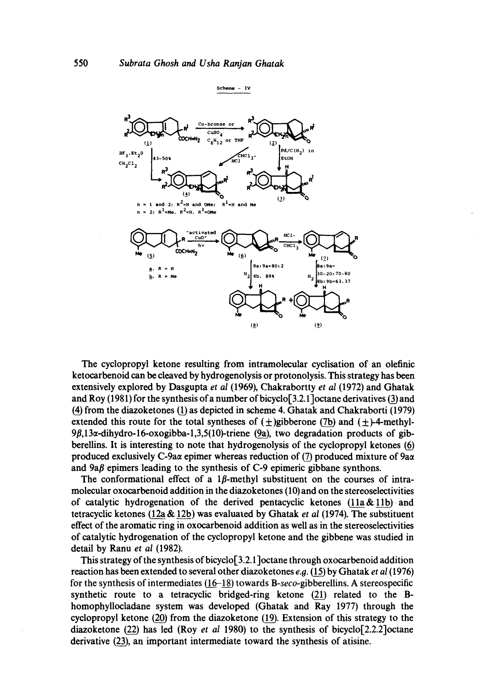

The cyclopropyl ketone resulting from intramolecular cyclisation of an olefinic ketocarbenoid can be cleaved by hydrogenolysis or protonolysis. This strategy has been extensively explored by Dasgupta *et al* (1969), Chakrabortty *et al* (1972) and Ghatak and Roy (1981) for the synthesis of a number of bicyclo[3.2.1]octane derivatives (3) and (4) from the diazoketones 1(!) as depicted in scheme 4. Ghatak and Chakraborti (1979) extended this route for the total syntheses of  $(+)$ gibberone (7b) and  $(+)$ -4-methyl- $9\beta$ ,13 $\alpha$ -dihydro-16-oxogibba-1,3,5(10)-triene (9a), two degradation products of gibberellins. It is interesting to note that hydrogenolysis of the cyclopropyl ketones produced exclusively C-9ax epimer whereas reduction of (7) produced mixture of 9ax and  $9a\beta$  epimers leading to the synthesis of C-9 epimeric gibbane synthons.

The conformational effect of a 1 $\beta$ -methyl substituent on the courses of intramolecular oxocarbenoid addition in the diazoketones (10) and on the stereoselectivities of catalytic hydrogenation of the derived pentacyclic ketones  $(11a\&11b)$  and tetracyclic ketones (12a & 12b) was evaluated by Ghatak *et al* (1974), The substituent effect of the aromatic ring in oxocarbenoid addition as well as in the stereoselectivities of catalytic hydrogenation of the cyclopropyl ketone and the gibbene was studied in detail by Ranu *et al* (1982).

This strategy of the synthesis of bicyclo[3.2.1]octane through oxocarbenoid addition reaction has been extended to several other diazoketones e.g. ~ by Ghatak *et al* (1976) for the synthesis of intermediates 1(1\_\_6-18) towards *B-seco-gibberellins.* A stereospecific synthetic route to a tetracyclic bridged-ring ketone  $(21)$  related to the Bhomophyllocladane system was developed (Ghatak and Ray 1977) through the cyclopropyl ketone  $(20)$  from the diazoketone  $(19)$ . Extension of this strategy to the diazoketone  $(22)$  has led (Roy *et al 1980)* to the synthesis of bicyclo $[2.2.2]$ octane derivative (23), an important intermediate toward the synthesis of atisine.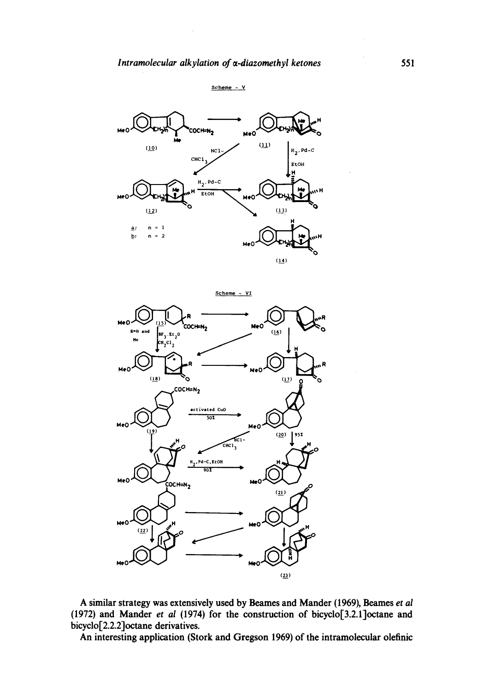



**Scheme** - VI MeO " (COCH=N<sub>2</sub>  $R=H$  and  $\begin{bmatrix} 0 & 0 \end{bmatrix}$  **IF**  $\begin{bmatrix} 0 & 0 \end{bmatrix}$  $\begin{bmatrix} 0 & 0 \end{bmatrix}$  $\begin{bmatrix} 0 & 0 \end{bmatrix}$  $\frac{BF_3 \cdot Et_2 0}{CR_2 C1_2}$  $\mathsf{M}\text{e}\circ\mathsf{M}\rightarrow\mathsf{M}\text{e}\circ\mathsf{M}\rightarrow\mathsf{M}\text{e}\circ\mathsf{M}\rightarrow\mathsf{M}\text{e}\circ\mathsf{M}\rightarrow\mathsf{M}\text{e}\circ\mathsf{M}\rightarrow\mathsf{M}\text{e}\circ\mathsf{M}\rightarrow\mathsf{M}\text{e}\circ\mathsf{M}\rightarrow\mathsf{M}\text{e}\circ\mathsf{M}\rightarrow\mathsf{M}\text{e}\circ\mathsf{M}\rightarrow\mathsf{M}\text{e}\circ\mathsf{M}\rightarrow\mathsf{M}\text{e}\circ\mathsf{M}\rightarrow\mathsf{M}\text{e}\circ\mathsf{M}\rightarrow\mathsf{$  $(18)$  $(12)$ ö  $\overline{\text{coch}}$ =N<sub>2</sub> activated CuO  $\overline{\cdots}$ MeC ۰٥ **([9) ~ (2o) I 9sz**   $H = \int_{HCl^{-}} HCl^{-} = \int_{H}$ **Pd-C, EtOH**<br>80**T**  $\overline{C}$ OCH=N<sub>2</sub>  $(21)$  $(22)$  $(23)$ 

**A similar strategy was extensively used by Beames and Mander (1969), Beames** *et al*  **(1972) and Mander** *et al* **(1974) for the construction of bicyclo[3.2.1]octane and bicyclo[2.2.2]octane derivatives.** 

**An interesting application (Stork and Gregson 1969) of the intramolecular olefinic**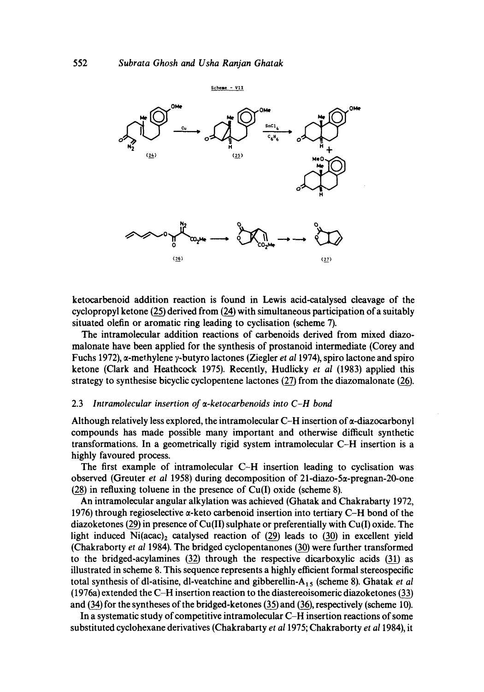

ketocarbenoid addition reaction is found in Lewis acid-catalysed cleavage of the cyclopropyl ketone  $(25)$  derived from  $(24)$  with simultaneous participation of a suitably situated olefin or aromatic ring leading to cyclisation (scheme 7).

The intramoleeular addition reactions of carbenoids derived from mixed diazomalonate have been applied for the synthesis of prostanoid intermediate (Corey and Fuchs 1972),  $\alpha$ -methylene y-butyro lactones (Ziegler *et al* 1974), spiro lactone and spiro ketone (Clark and Heathcoek 1975). Recently, Hudlicky *et al* (1983) applied this strategy to synthesise bicyclic cyclopentene lactones  $(27)$  from the diazomalonate  $(26)$ .

#### 2.3 Intramolecular insertion of a-ketocarbenoids into C-H bond

Although relatively less explored, the intramolecular  $C-H$  insertion of  $\alpha$ -diazocarbonyl compounds has made possible many important and otherwise difficult synthetic transformations. In a geometrically rigid system intramolecular C-H insertion is a highly favoured process.

The first example of intramolecular  $C-H$  insertion leading to cyclisation was observed (Greuter *et al* 1958) during decomposition of 21-diazo-5 $\alpha$ -pregnan-20-one  $(28)$  in refluxing toluene in the presence of Cu(I) oxide (scheme 8).

An intramolecular angular alkylation was achieved (Ghatak and Chakrabarty 1972, 1976) through regioselective  $\alpha$ -keto carbenoid insertion into tertiary C-H bond of the diazoketones (29) in presence of Cu(II) sulphate or preferentially with Cu(I) oxide. The light induced  $Ni(acac)_2$  catalysed reaction of (29) leads to (30) in excellent yield (Chakraborty *et al* 1984). The bridged cyclopentanones (30) were further transformed to the bridged-acylamines  $(32)$  through the respective dicarboxylic acids  $(31)$  as illustrated in scheme 8. This sequence represents a highly efficient formal stereospccific total synthesis of dl-atisine, dl-veatchine and gibberellin-A<sub>15</sub> (scheme 8). Ghatak *et al*  $(1976a)$  extended the C-H insertion reaction to the diastereoisomeric diazoketones  $(33)$ and  $(34)$  for the syntheses of the bridged-ketones  $(35)$  and  $(36)$ , respectively (scheme 10).

In a systematic study of competitive intramolecular C-H insertion reactions of some substituted cyclohexane derivatives (Chakrabarty *et a11975;* Chakraborty *et a11984),* it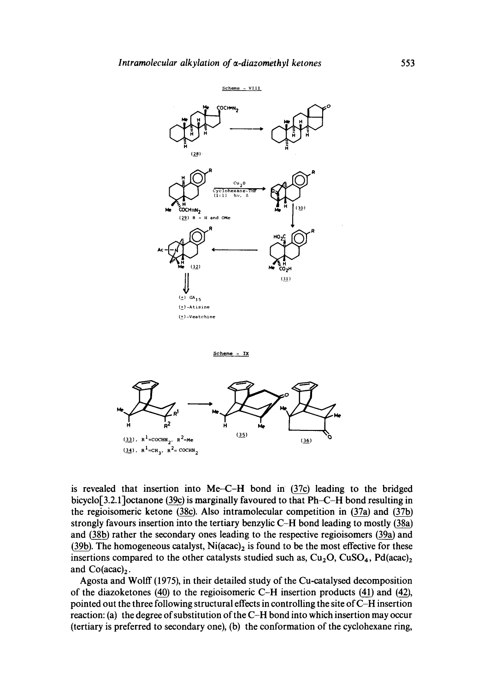

is revealed that insertion into Me-C-H bond in (37c) leading to the bridged

bicyclo[3.2.1]octanone (39c) is marginally favoured to that Ph~E-H bond resulting in the regioisomeric ketone (38c). Also intramolecular competition in (37a) and (37b) strongly favours insertion into the tertiary benzylic C-H bond leading to mostly  $(38a)$ and (38b) rather the secondary ones leading to the respective regioisomers (39a) and (39b). The homogeneous catalyst,  $Ni(acac)$ <sub>2</sub> is found to be the most effective for these insertions compared to the other catalysts studied such as,  $Cu<sub>2</sub>O$ ,  $CuSO<sub>4</sub>$ ,  $Pd(acac)<sub>2</sub>$ and  $Co(acac)_2$ .

Agosta and Wolff (1975), in their detailed study of the Cu-catalysed decomposition of the diazoketones (40) to the regioisomeric C-H insertion products (41) and (42), pointed out the three following structural effects in controlling the site of C-H insertion reaction: (a) the degree of substitution of the C-H bond into which insertion may occur (tertiary is preferred to secondary one), (b) the conformation of the cyclohexane ring,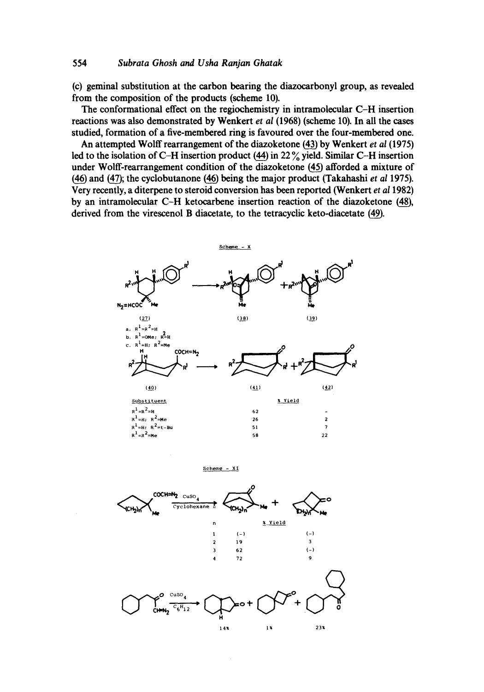#### **554** *Subrata Ghosh and Usha Ranjan Ghatak*

**(c) geminal substitution at the carbon bearing the diazocarbonyl group, as revealed from the composition of the products (scheme 10).** 

**The conformational effect on the regioehemistry in intramolecular C-H insertion reactions was also demonstrated by Wenkert** *et al* **(1968) (scheme 10). In all the cases studied, formation of a five-membered ring is favoured over the four-membered one.** 

An attempted Wolff rearrangement of the diazoketone (43) by Wenkert *et al* (1975) led to the isolation of C-H insertion product  $(44)$  in 22  $\%$  yield. Similar C-H insertion under Wolff-rearrangement condition of the diazoketone (45) afforded a mixture of  $(46)$  and  $(47)$ ; the cyclobutanone  $(46)$  being the major product (Takahashi *et al* 1975). **Very recently, a diterpene to steroid conversion has been reported (Wenkert** *et a11982)*  by an intramolecular C-H ketocarbene insertion reaction of the diazoketone (48), derived from the virescenol B diacetate, to the tetracyclic keto-diacetate (49).

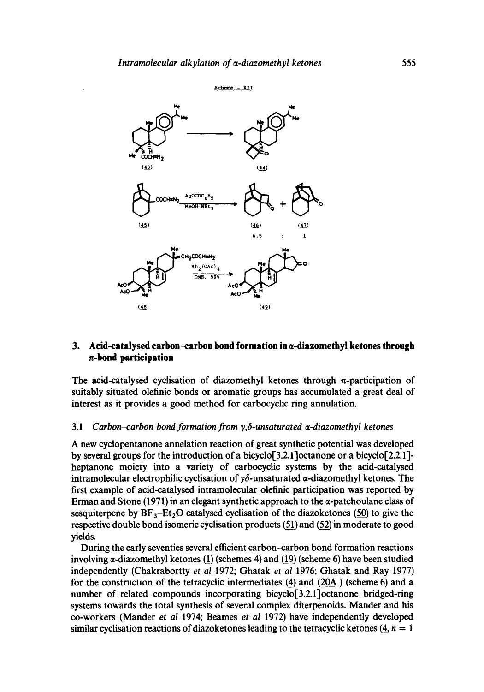

# **3.** Acid-catalysed carbon-carbon bond formation in  $\alpha$ -diazomethyl ketones through n-bond **participation**

The acid-catalysed cyclisation of diazomethyl ketones through  $\pi$ -participation of suitably situated olefinic bonds or aromatic groups has accumulated a great deal of interest as it provides a good method for carbocyclic ring annulation.

# 3.1 *Carbon-carbon bond formation from*  $\gamma$ *,*  $\delta$ *-unsaturated*  $\alpha$ *-diazomethyl ketones*

A new cyclopentanone annelation reaction of great synthetic potential was developed by several groups for the introduction of a bicyclo<sup>[3.2.1</sup>] octanone or a bicyclo<sup>[2.2.1]</sup> heptanone moiety into a variety of carbocyclic systems by the acid-catalysed intramolecular electrophilic cyclisation of  $y\delta$ -unsaturated  $\alpha$ -diazomethyl ketones. The first example of acid-catalysed intramolecular olefinic participation was reported by Erman and Stone (1971) in an elegant synthetic approach to the  $\alpha$ -patchoulane class of sesquiterpene by  $BF_3-Et_2O$  catalysed cyclisation of the diazoketones (50) to give the respective double bond isomeric cyclisation products  $(51)$  and  $(52)$  in moderate to good yields.

During the early seventies several efficient carbon-carbon bond formation reactions involving  $\alpha$ -diazomethyl ketones (1) (schemes 4) and (19) (scheme 6) have been studied independently (Chakrabortty *et al* 1972; Ghatak *et al* 1976; Ghatak and Ray 1977) for the construction of the tetracyclic intermediates (4) and (20A) (scheme 6) and a number of related compounds incorporating bicyclo[3.2.1]octanone bridged-ring systems towards the total synthesis of several complex diterpenoids. Mander and his co-workers (Mander *et al* 1974; Beames *et al* 1972) have independently developed similar cyclisation reactions of diazoketones leading to the tetracyclic ketones  $(4, n = 1)$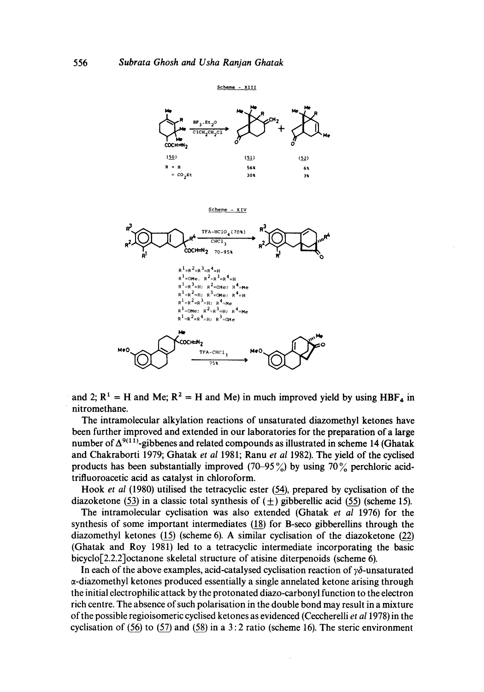

and 2;  $R^1 = H$  and Me;  $R^2 = H$  and Me) in much improved yield by using  $HBF_4$  in **nitromethane.** 

**The intramolecular alkylation reactions of unsaturated diazomethyl ketones have been further improved and extended in our laboratories for the preparation of a large**  number of  $\Delta^{9(11)}$ -gibbenes and related compounds as illustrated in scheme 14 (Ghatak **and Chakraborti 1979; Ghatak** *et al* **1981; Ranu** *et al* **1982). The yield of the cyclised**  products has been substantially improved  $(70-95\%)$  by using  $70\%$  perchloric acid**trifluoroacetic acid as catalyst in chloroform.** 

Hook *et al* (1980) utilised the tetracyclic ester (54), prepared by cyclisation of the diazoketone (53) in a classic total synthesis of  $(±)$  gibberellic acid (55) (scheme 15).

**The intramolecular cyclisation was also extended (Ghatak** *et al* **1976) for the**  synthesis of some important intermediates (18) for B-seco gibberellins through the diazomethyl ketones (15) (scheme 6). A similar cyclisation of the diazoketone (22) **(Ghatak and Roy 1981) led to a tetracyclic intermediate incorporating the basic bicyclo[2.2.2]octanone skeletal structure of atisine diterpenoids (scheme 6).** 

In each of the above examples, acid-catalysed cyclisation reaction of  $y\delta$ -unsaturated **~-diazomethyl ketones produced essentially a single annelated ketone arising through the initial electrophilic attack by the protonated diazo-carbonyl function to the electron rich centre. The absence of such polarisation in the double bond may result in a mixture of the possible regioisomeric cyclised ketones as evidenced (Ceccherelli** *et al* **1978) in the**  cyclisation of  $(56)$  to  $(57)$  and  $(58)$  in a 3:2 ratio (scheme 16). The steric environment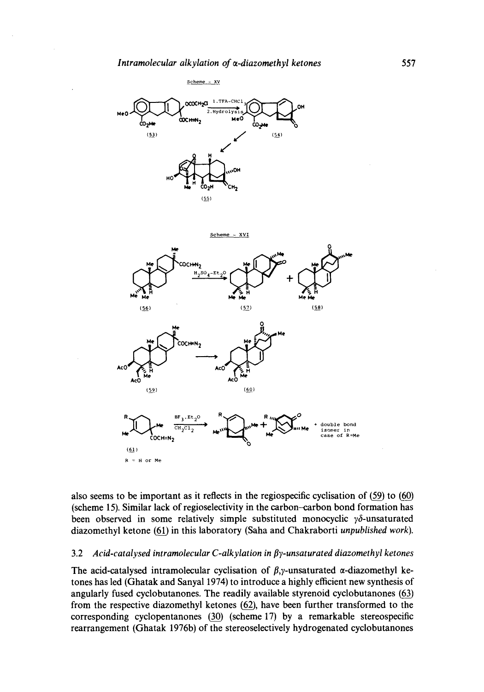



also seems to be important as it reflects in the regiospecific cyclisation of (59) to (60) **(scheme 15). Similar lack of regioselectivity in the carbon-carbon bond formation has**  been observed in some relatively simple substituted monocyclic  $\gamma \delta$ -unsaturated diazomethyl ketone (61) in this laboratory (Saha and Chakraborti *unpublished work*).

#### **3.2** *Acid-catalysed intramolecular C-alkylation in By-unsaturated diazomethyl ketones*

The acid-catalysed intramolecular cyclisation of  $\beta$ , *y*-unsaturated  $\alpha$ -diazomethyl ke**tones has led (Ghatak and Sanyal 1974) to introduce a highly efficient new synthesis of**  angularly fused cyclobutanones. The readily available styrenoid cyclobutanones (63) from the respective diazomethyl ketones (62), have been further transformed to the corresponding cyclopentanones (30) (scheme 17) by a remarkable stereospecific **rearrangement (Ghatak 1976b) of the stereoselectively hydrogenated cyclobutanones**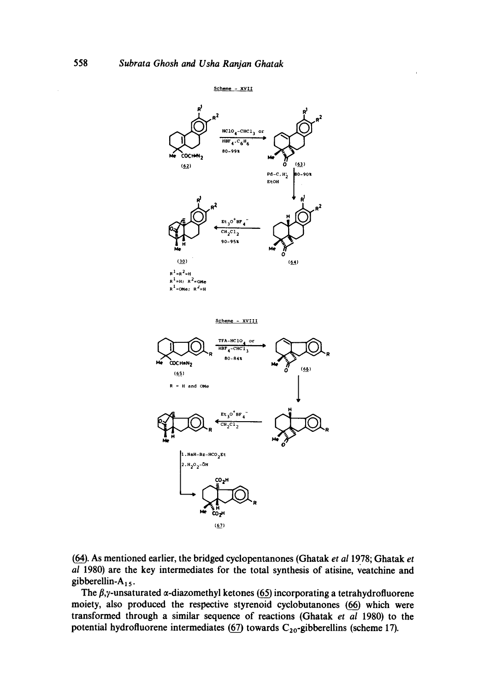

**(~\_\_). As mentioned earlier, the bridged cyclopentanones (Ghatak** *et al* **1978; Ghatak** *et al* **1980) are the key intermediates for the total synthesis of atisine, veatchine and gibberellin-A15.** 

The  $\beta$ , *y*-unsaturated  $\alpha$ -diazomethyl ketones (65) incorporating a tetrahydrofluorene **moiety, also produced the respective styrenoid cyclobutanones (66\_) which were transformed through a similar sequence of reactions (Ghatak** *et al* **1980) to the**  potential hydrofluorene intermediates  $(67)$  towards  $C_{20}$ -gibberellins (scheme 17).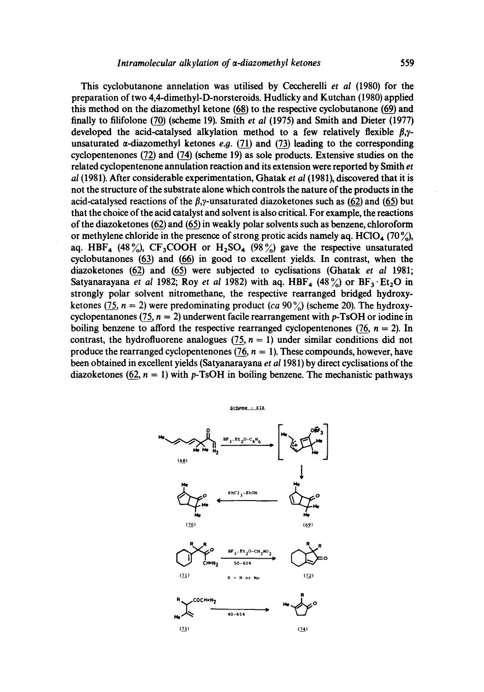This cyclobutanone annelation was utilised by Ceccherelli *et al* (1980) for the preparation of two 4,4-dimethyl-D-norsteroids. Hudlicky and Kutchan (1980) applied this method on the diazomethyl ketone  $(68)$  to the respective cyclobutanone  $(69)$  and finally to filifolone (70) (scheme 19). Smith *et al* (1975) and Smith and Dieter (1977) developed the acid-catalysed alkylation method to a few relatively flexible  $\beta$ , $\gamma$ unsaturated  $\alpha$ -diazomethyl ketones e.g. (71) and (73) leading to the corresponding cyclopentenones  $(72)$  and  $(74)$  (scheme 19) as sole products. Extensive studies on the related cyclopentenone annulation reaction and its extension were reported by Smith *et al* (1981). After considerable experimentation, Ghatak *et al (1981),* discovered that it is not the structure of the substrate alone which controls the nature of the products in the acid-catalysed reactions of the  $\beta$ , *y*-unsaturated diazoketones such as (62) and (65) but that the choice of the acid catalyst and solvent is also critical. For example, the reactions of the diazoketones  $(62)$  and  $(65)$  in weakly polar solvents such as benzene, chloroform or methylene chloride in the presence of strong protic acids namely aq. HClO<sub>4</sub> (70 %), aq. HBF<sub>4</sub> (48%), CF<sub>3</sub>COOH or H<sub>2</sub>SO<sub>4</sub> (98%) gave the respective unsaturated cyclobutanones  $(63)$  and  $(66)$  in good to excellent yields. In contrast, when the diazoketones (62) and (65) were subjected to cyclisations (Ghatak *et al* 1981; Satyanarayana *et al* 1982; Roy *et al* 1982) with aq.  $HBF<sub>4</sub>$  (48%) or  $BF<sub>3</sub> \cdot Et<sub>2</sub>O$  in strongly polar solvent nitromethane, the respective rearranged bridged hydroxyketones (75,  $n = 2$ ) were predominating product *(ca* 90%) (scheme 20). The hydroxycyclopentanones (75,  $n = 2$ ) underwent facile rearrangement with p-TsOH or iodine in boiling benzene to afford the respective rearranged cyclopentenones (76,  $n = 2$ ). In contrast, the hydrofluorene analogues  $(75, n = 1)$  under similar conditions did not produce the rearranged cyclopentenones  $(76, n = 1)$ . These compounds, however, have been obtained in excellent yields (Satyanarayana *et a11981)* by direct cyclisations of the diazoketones (62,  $n = 1$ ) with p-TsOH in boiling benzene. The mechanistic pathways

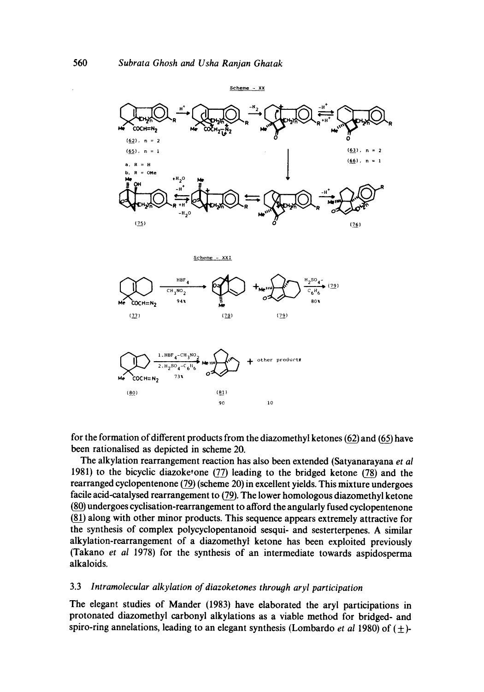

for the formation of different products from the diazomethyl ketones (62) and (65) have **been rationalised as depicted in scheme 20.** 

**The alkylation rearrangement reaction has also been extended (Satyanarayana** *et al*  1981) to the bicyclic diazoketone (77) leading to the bridged ketone (78) and the rearranged cyclopentenone (79) (scheme 20) in excellent yields. This mixture undergoes facile acid-catalysed rearrangement to (79). The lower homologous diazomethyl ketone **81\_~) undergoes cyclisation-rearrangement to afford the angularly fused cyclopentenone**   $81)$  along with other minor products. This sequence appears extremely attractive for **the synthesis of complex polycyclopentanoid sesqui- and sesterterpenes. A similar alkylation-rearrangement of a diazomethyt ketone has been exploited previously (Takano** *et a11978)* **for the synthesis of an intermediate towards aspidosperma alkaloids.** 

# **3.3** *lntramolecular alkylation of diazoketones through aryl participation*

**The elegant studies of Mander (1983) have elaborated the aryl participations in protonated diazomethyl carbonyl alkylations as a viable method for bridged- and**  spiro-ring annelations, leading to an elegant synthesis (Lombardo *et al* 1980) of  $(\pm)$ -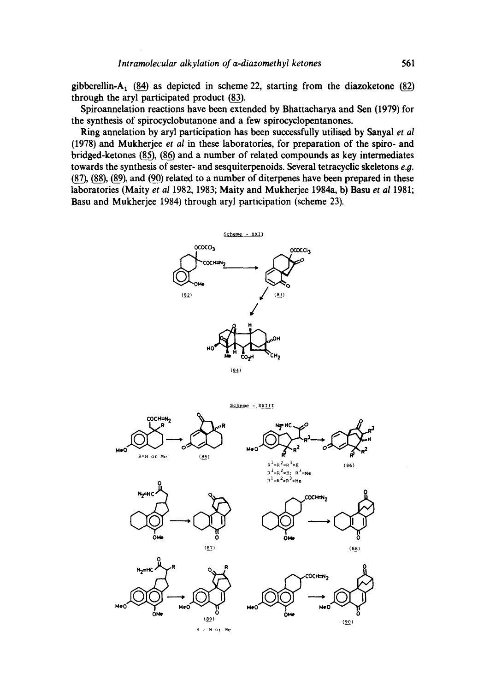gibberellin-A<sub>1</sub>  $(84)$  as depicted in scheme 22, starting from the diazoketone  $(82)$ through the aryl participated product (83).

**Spiroannelation reactions have been extended by Bhattacharya and Sen (1979) for the synthesis of spirocyclobutanone and a few spirocyclopentanones.** 

**Ring annelation by aryl participation has been successfully utilised by Sanyal** *et al*  **(1978) and Mukherjee** *et al* **in these laboratories, for preparation of the spiro- and**  bridged-ketones (85), (86) and a number of related compounds as key intermediates **towards the synthesis of sester- and sesquiterpenoids. Several tetracyclic skeletons e.g.**  (87), (88), (89), and (90) related to a number of diterpenes have been prepared in these **laboratories (Maity** *et al* **1982, 1983; Maity and Mukherjee 1984a, b) Basu** *et al* **1981; Basu and Mukherjee 1984) through aryl participation (scheme 23).** 

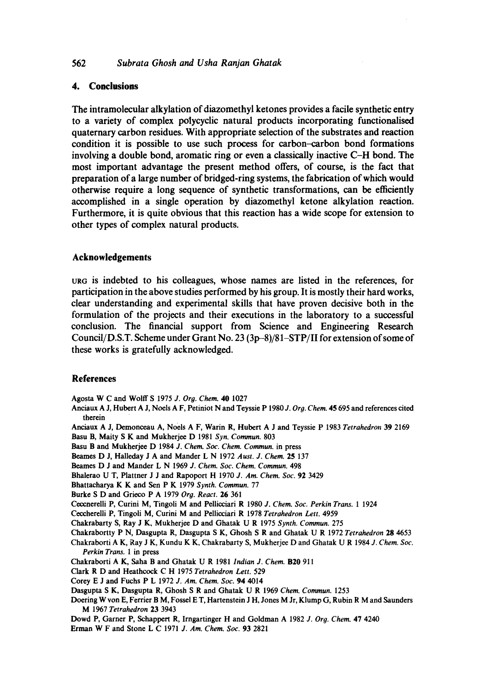### **562** *Subrata Ghosh and Usha Ranjan Ghatak*

# **4. Conclusions**

**The intramolecular alkylation of diazomethyl ketones provides a facile synthetic entry to a variety of complex polycyclic natural products incorporating functionalised quaternary carbon residues. With appropriate selection of the substrates and reaction condition it is possible to use such process for carbon--carbon bond formations involving a double bond, aromatic ring or even a classically inactive C-H bond. The most important advantage the present method offers, of course, is the fact that preparation of a large number of bridged-ring systems, the fabrication of which would otherwise require a long sequence of synthetic transformations, can be efficiently accomplished in a single operation by diazomethyl ketone alkylation reaction. Furthermore, it is quite obvious that this reaction has a wide scope for extension to other types of complex natural products.** 

# **Acknowledgements**

**uR6 is indebted to his colleagues, whose names are listed in the references, for participation in the above studies performed by his group. It is mostly their hard works, clear understanding and experimental skills that have proven decisive both in the formulation of the projects and their executions in the laboratory to a successful conclusion. The financial support from Science and Engineering Research Council/D.S.T. Scheme under Grant No. 23 (3p-8)/81-STP/II for extension of some of these works is gratefully acknowledged.** 

### **References**

Agosta W C and Wolff S 1975 *J. Org. Chem.* 40 1027

- **Anciaux** A J, Hubert A J, Noels A F, Petiniot N and Teyssie P 1980 *J. Org. Chem.* 45 695 and **references cited therein**
- **Anciaux** A J, Demonceau A, Noels A F, Warin R, Hubert A J and Teyssie P 1983 *Tetrahedron* 39 2169
- Basu B, Maity S K and Mukherjee D 1981 *Syn. Commun.* 803
- Basu B and Mukherjee D 1984 *J. Chem. Soc. Chem. Commun.* **in press**
- Beames D J, Halleday J A and Mander L N 1972 *Aust. J. Chem.* 25 137
- Beames D J and Mander L N 1969 *J. Chem. Soc. Chem. Commun.* 498
- Bhalerao U T, Plattner J J and Rapoport H 1970 *J. Am. Chem. Soc.* 92 3429
- Bhattacharya K K and Sen P K 1979 *Synth. Commun.* 77
- **Burke** S D and Grieco P A 1979 *Org. React.* 26 361
- **Ceccnerelli P, Curini M, Tingoli** M and Pelliceiari R 1980 *J. Chem. Soc. Perkin Trans.* 1 1924

Ceceherelli P, Tingoli M, Curini M and Pellicciari R 1978 *Tetrahedron Lett.* 4959

- Chakrabarty S, Ray J K, Mukherjee D and Ghatak U R 1975 *Synth. Commun.* 275
- **Chakrabortty** P N, Dasgupta R, Dasgupta S K, Ghosh S R and Ghatak U R 1972 *Tetrahedron* 28 4653

**Chakraborti** A K, Ray J K, Kundu K K, Chakrabarty S, Mukherjee D and Ghatak U R 1984 *J. Chem. Soc.* 

*Perkin Trans.* 1 **in press**  Chakraborti A K, Saha B and Ghatak U R 1981 *Indian J. Chem.* B20 911

Clark R D and Heathcock C H 1975 *Tetrahedron Lett.* 529

- **Core),** E J and Fuchs P L 1972 *J. Am. Chem. Soc.* 94 4014
- Dasgupta S K, Dasgupta R, Ghosh S R and Ghatak U R 1969 *Chem. Commun.* 1253
- **Doering W yon E, Ferrier** B M, Fossel E T, Hartenstein J H, Jones M Jr, Klump G, Rubin R M and **Saunders**  M 1967 *Tetrahedron* 23 3943
- Dowd P, Garner P, Sehappert R, Irngartinger H and Goldman A 1982 *J. Org. Chem.* 47 4240

Erman W F and Stone L C 1971 *J. Am. Chem. Soc.* 93 2821